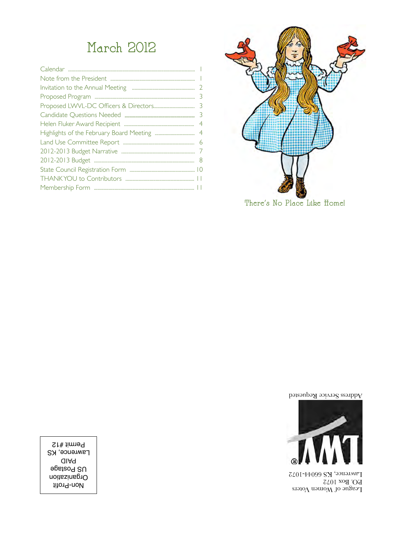### March 2012



Address Service Requested



League of Women Voters P.O. Box 1072 Lawrence, KS 66044-1072

Non-Profit Organization US Postage PAID **Lawrence, KS** Permit #12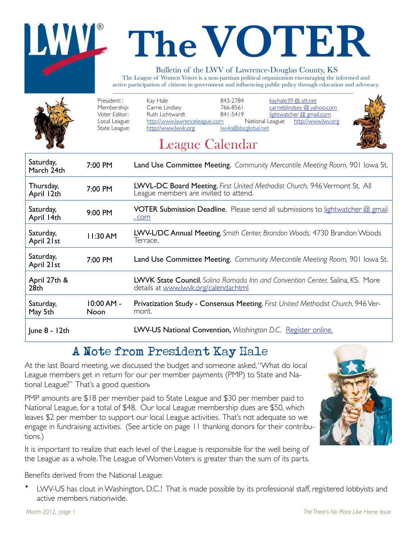# **The VOTER**

### Bulletin of the LWV of Lawrence-Douglas County, KS

The League of Women Voters is a non-partisan political organization encouraging the informed and active participation of citizens in government and influencing public policy through education and advocacy.

|                         | President::<br>Membership:<br>Voter Editor:<br>Local League:<br>State League: | 843-2784<br>Kay Hale<br>kayhale39 @ att.net<br>Carrie Lindsey<br>carrieblindsey @ yahoo.com<br>766-8561<br>Ruth Lichtwardt<br>841-5419<br>lightwatcher @ gmail.com<br>http://www.lawrenceleague.com<br>http://www.lwv.org<br>National League:<br>http://www.lwvk.org<br>lwyks@sbcglobal.net<br>League Calendar |
|-------------------------|-------------------------------------------------------------------------------|----------------------------------------------------------------------------------------------------------------------------------------------------------------------------------------------------------------------------------------------------------------------------------------------------------------|
| Saturday,<br>March 24th | 7:00 PM                                                                       | Land Use Committee Meeting. Community Mercantile Meeting Room, 901 Iowa St.                                                                                                                                                                                                                                    |
| Thursday,<br>April 12th | 7:00 PM                                                                       | LWVL-DC Board Meeting. First United Methodist Church, 946 Vermont St. All<br>League members are invited to attend.                                                                                                                                                                                             |
| Saturday,<br>April 14th | 9:00 PM                                                                       | <b>VOTER Submission Deadline.</b> Please send all submissions to lightwatcher @ gmail<br>. com                                                                                                                                                                                                                 |
| Saturday,<br>April 21st | 11:30 AM                                                                      | LWV-L/DC Annual Meeting, Smith Center, Brandon Woods, 4730 Brandon Woods<br>Terrace.                                                                                                                                                                                                                           |
| Saturday,<br>April 21st | 7:00 PM                                                                       | Land Use Committee Meeting. Community Mercantile Meeting Room, 901 Iowa St.                                                                                                                                                                                                                                    |
| April 27th &            |                                                                               | LWVK State Council, Salina Ramada Inn and Convention Center, Salina, KS. More                                                                                                                                                                                                                                  |

| 28 <sub>th</sub><br>Saturday, | $10:00$ AM - | details at www.lwvk.org/calendar.html<br><b>Privatization Study - Consensus Meeting.</b> First United Methodist Church, 946 Ver- |
|-------------------------------|--------------|----------------------------------------------------------------------------------------------------------------------------------|
| May 5th                       | Noon         | mont.                                                                                                                            |
| June 8 - 12th                 |              | LWV-US National Convention, Washington D.C. Register online.                                                                     |

### A Note from President Kay Hale

At the last Board meeting, we discussed the budget and someone asked, "What do local League members get in return for our per member payments (PMP) to State and National League?" That's a good question.

PMP amounts are \$18 per member paid to State League and \$30 per member paid to National League, for a total of \$48. Our local League membership dues are \$50, which leaves \$2 per member to support our local League activities. That's not adequate so we engage in fundraising activities. (See article on page 11 thanking donors for their contributions.)

It is important to realize that each level of the League is responsible for the well being of the League as a whole. The League of Women Voters is greater than the sum of its parts.

Benefits derived from the National League:

• LWV-US has clout in Washington, D.C.! That is made possible by its professional staff, registered lobbyists and active members nationwide.

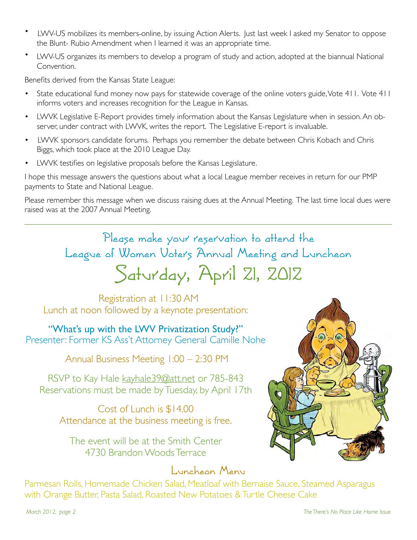- LWV-US mobilizes its members online, by issuing Action Alerts. Just last week I asked my Senator to oppose the Blunt- Rubio Amendment when I learned it was an appropriate time.
- LWV-US organizes its members to develop a program of study and action, adopted at the biannual National Convention.

Benefits derived from the Kansas State League:

- State educational fund money now pays for statewide coverage of the online voters guide, Vote 411. Vote 411 informs voters and increases recognition for the League in Kansas.
- LWVK Legislative E-Report provides timely information about the Kansas Legislature when in session. An observer, under contract with LWVK, writes the report. The Legislative E-report is invaluable.
- LWVK sponsors candidate forums. Perhaps you remember the debate between Chris Kobach and Chris Biggs, which took place at the 2010 League Day.
- LWVK testifies on legislative proposals before the Kansas Legislature.

I hope this message answers the questions about what a local League member receives in return for our PMP payments to State and National League.

Please remember this message when we discuss raising dues at the Annual Meeting. The last time local dues were raised was at the 2007 Annual Meeting.

> Please make your reservation to attend the League of Women Voters Annual Meeting and Luncheon Saturday, April 21, 2012

 Registration at 11:30 AM Lunch at noon followed by a keynote presentation:

"What's up with the LWV Privatization Study?" Presenter: Former KS Ass't Attorney General Camille Nohe

Annual Business Meeting 1:00 – 2:30 PM

RSVP to Kay Hale kayhale 39@att.net or 785-843 Reservations must be made by Tuesday, by April 17th

Cost of Lunch is \$14.00 Attendance at the business meeting is free.

The event will be at the Smith Center 4730 Brandon Woods Terrace

### Luncheon Menu

Parmesan Rolls, Homemade Chicken Salad, Meatloaf with Bernaise Sauce, Steamed Asparagus with Orange Butter, Pasta Salad, Roasted New Potatoes & Turtle Cheese Cake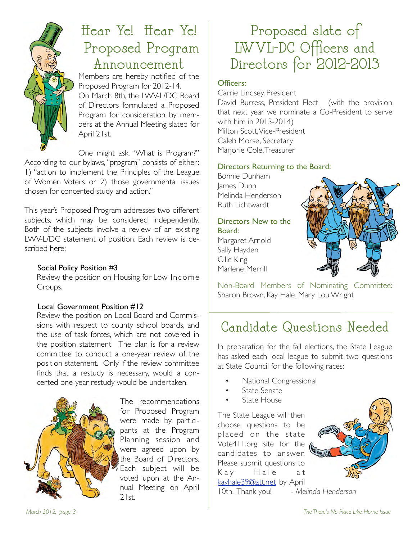

### Hear Ye! Hear Ye! Proposed Program Announcement

Members are hereby notified of the Proposed Program for 2012-14. On March 8th, the LWV-L/DC Board of Directors formulated a Proposed Program for consideration by members at the Annual Meeting slated for April 21st.

One might ask, "What is Program?"

According to our bylaws, "program" consists of either: 1) "action to implement the Principles of the League of Women Voters or 2) those governmental issues chosen for concerted study and action."

This year's Proposed Program addresses two different subjects, which may be considered independently. Both of the subjects involve a review of an existing LWV-L/DC statement of position. Each review is described here:

### Social Policy Position #3

Review the position on Housing for Low Income Groups.

### Local Government Position #12

Review the position on Local Board and Commissions with respect to county school boards, and the use of task forces, which are not covered in the position statement. The plan is for a review committee to conduct a one-year review of the position statement. Only if the review committee finds that a restudy is necessary, would a concerted one-year restudy would be undertaken.



The recommendations for Proposed Program were made by participants at the Program Planning session and were agreed upon by the Board of Directors. Each subject will be voted upon at the Annual Meeting on April  $21st$ 

### Proposed slate of LWVL-DC Officers and Directors for 2012-2013

#### Officers:

Carrie Lindsey, President David Burress, President Elect (with the provision that next year we nominate a Co-President to serve with him in 2013-2014) Milton Scott, Vice-President Caleb Morse, Secretary Marjorie Cole, Treasurer

#### Directors Returning to the Board:

Bonnie Dunham James Dunn Melinda Henderson Ruth Lichtwardt

### Directors New to the Board:

Margaret Arnold Sally Hayden Cille King Marlene Merrill



Non-Board Members of Nominating Committee: Sharon Brown, Kay Hale, Mary Lou Wright

### Candidate Questions Needed

In preparation for the fall elections, the State League has asked each local league to submit two questions at State Council for the following races:

- National Congressional
- State Senate
- State House

The State League will then choose questions to be placed on the state Vote411.org site for the candidates to answer. Please submit questions to Kay Hale at kayhale39@att.net by April 10th. Thank you! *- Melinda Henderson*

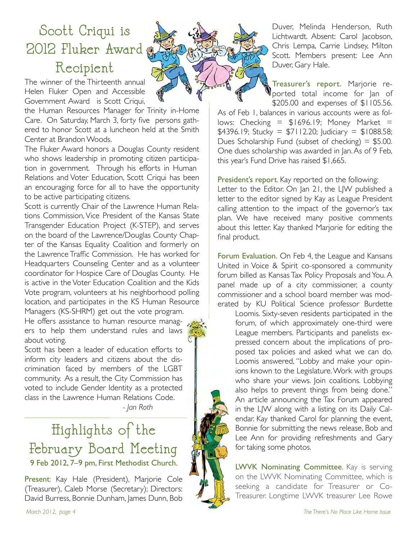### Scott Criqui is 2012 Fluker Award Recipient

The winner of the Thirteenth annual Helen Fluker Open and Accessible Government Award is Scott Criqui,

the Human Resources Manager for Trinity in-Home Care. On Saturday, March 3, forty five persons gathered to honor Scott at a luncheon held at the Smith Center at Brandon Woods.

The Fluker Award honors a Douglas County resident who shows leadership in promoting citizen participation in government. Through his efforts in Human Relations and Voter Education, Scott Criqui has been an encouraging force for all to have the opportunity to be active participating citizens.

Scott is currently Chair of the Lawrence Human Relations Commission, Vice President of the Kansas State Transgender Education Project (K-STEP), and serves on the board of the Lawrence/Douglas County Chapter of the Kansas Equality Coalition and formerly on the Lawrence Traffic Commission. He has worked for Headquarters Counseling Center and as a volunteer coordinator for Hospice Care of Douglas County. He is active in the Voter Education Coalition and the Kids Vote program, volunteers at his neighborhood polling location, and participates in the KS Human Resource Managers (KS-SHRM) get out the vote program.

He offers assistance to human resource managers to help them understand rules and laws about voting.



Scott has been a leader of education efforts to inform city leaders and citizens about the discrimination faced by members of the LGBT community. As a result, the City Commission has voted to include Gender Identity as a protected class in the Lawrence Human Relations Code. """" *- Jan Roth*

### Highlights of the February Board Meeting 9 Feb 2012, 7–9 pm, First Methodist Church.

Present: Kay Hale (President), Marjorie Cole (Treasurer), Caleb Morse (Secretary); Directors: David Burress, Bonnie Dunham, James Dunn, Bob Duver, Melinda Henderson, Ruth Lichtwardt. Absent: Carol Jacobson, Chris Lempa, Carrie Lindsey, Milton Scott. Members present: Lee Ann Duver, Gary Hale.

Treasurer's report. Marjorie reported total income for Jan of \$205.00 and expenses of \$1105.56.

As of Feb 1, balances in various accounts were as follows: Checking =  $$1696.19$ ; Money Market =  $$4396.19$ ; Stucky =  $$7112.20$ ; Judiciary =  $$1088.58$ ; Dues Scholarship Fund (subset of checking)  $=$  \$5.00. One dues scholarship was awarded in Jan. As of 9 Feb, this year's Fund Drive has raised \$1,665.

President's report. Kay reported on the following: Letter to the Editor. On Jan 21, the LJW published a letter to the editor signed by Kay as League President calling attention to the impact of the governor's tax plan. We have received many positive comments about this letter. Kay thanked Marjorie for editing the final product.

Forum Evaluation. On Feb 4, the League and Kansans United in Voice & Spirit co-sponsored a community forum billed as Kansas Tax Policy Proposals and You. A panel made up of a city commissioner, a county commissioner and a school board member was moderated by KU Political Science professor Burdette

Loomis. Sixty-seven residents participated in the forum, of which approximately one-third were League members. Participants and panelists expressed concern about the implications of proposed tax policies and asked what we can do. Loomis answered, "Lobby and make your opinions known to the Legislature. Work with groups who share your views. Join coalitions. Lobbying also helps to prevent things from being done." An article announcing the Tax Forum appeared in the LJW along with a listing on its Daily Calendar. Kay thanked Carol for planning the event, Bonnie for submitting the news release, Bob and Lee Ann for providing refreshments and Gary for taking some photos.

LWVK Nominating Committee. Kay is serving on the LWVK Nominating Committee, which is seeking a candidate for Treasurer or Co-Treasurer. Longtime LWVK treasurer Lee Rowe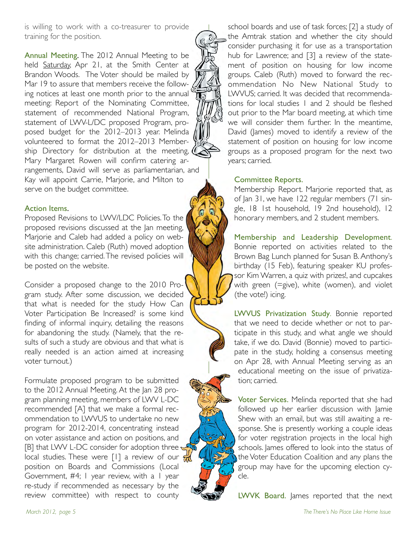is willing to work with a co-treasurer to provide training for the position.

Annual Meeting. The 2012 Annual Meeting to be held Saturday, Apr 21, at the Smith Center at Brandon Woods. The Voter should be mailed by Mar 19 to assure that members receive the following notices at least one month prior to the annual meeting: Report of the Nominating Committee, statement of recommended National Program, statement of LWV-L/DC proposed Program, proposed budget for the 2012–2013 year. Melinda volunteered to format the 2012–2013 Membership Directory for distribution at the meeting, Mary Margaret Rowen will confirm catering arrangements, David will serve as parliamentarian, and Kay will appoint Carrie, Marjorie, and Milton to serve on the budget committee.

#### Action Items.

Proposed Revisions to LWV/LDC Policies. To the proposed revisions discussed at the Jan meeting, Marjorie and Caleb had added a policy on website administration. Caleb (Ruth) moved adoption with this change; carried. The revised policies will be posted on the website.

Consider a proposed change to the 2010 Program study. After some discussion, we decided that what is needed for the study How Can Voter Participation Be Increased? is some kind finding of informal inquiry, detailing the reasons for abandoning the study. (Namely, that the results of such a study are obvious and that what is really needed is an action aimed at increasing voter turnout.)

Formulate proposed program to be submitted to the 2012 Annual Meeting. At the Jan 28 program planning meeting, members of LWV L-DC recommended [A] that we make a formal recommendation to LWVUS to undertake no new program for 2012-2014, concentrating instead on voter assistance and action on positions, and [B] that LWV L-DC consider for adoption three local studies. These were [1] a review of our  $\frac{d}{d}$ position on Boards and Commissions (Local Government, #4; 1 year review, with a 1 year re-study if recommended as necessary by the review committee) with respect to county

school boards and use of task forces; [2] a study of the Amtrak station and whether the city should consider purchasing it for use as a transportation hub for Lawrence; and [3] a review of the statement of position on housing for low income groups. Caleb (Ruth) moved to forward the recommendation No New National Study to LWVUS; carried. It was decided that recommendations for local studies 1 and 2 should be fleshed out prior to the Mar board meeting, at which time we will consider them further. In the meantime, David (James) moved to identify a review of the statement of position on housing for low income groups as a proposed program for the next two years; carried.

#### Committee Reports.

Membership Report. Marjorie reported that, as of Jan 31, we have 122 regular members (71 single, 18 1st household, 19 2nd household), 12 honorary members, and 2 student members.

Membership and Leadership Development. Bonnie reported on activities related to the Brown Bag Lunch planned for Susan B. Anthony's birthday (15 Feb), featuring speaker KU professor Kim Warren, a quiz with prizes!, and cupcakes with green (=give), white (women), and violet (the vote!) icing.

LWVUS Privatization Study. Bonnie reported that we need to decide whether or not to participate in this study, and what angle we should take, if we do. David (Bonnie) moved to participate in the study, holding a consensus meeting on Apr 28, with Annual Meeting serving as an educational meeting on the issue of privatization; carried.

Voter Services. Melinda reported that she had followed up her earlier discussion with Jamie Shew with an email, but was still awaiting a response. She is presently working a couple ideas for voter registration projects in the local high schools. James offered to look into the status of the Voter Education Coalition and any plans the group may have for the upcoming election cycle.

LWVK Board. James reported that the next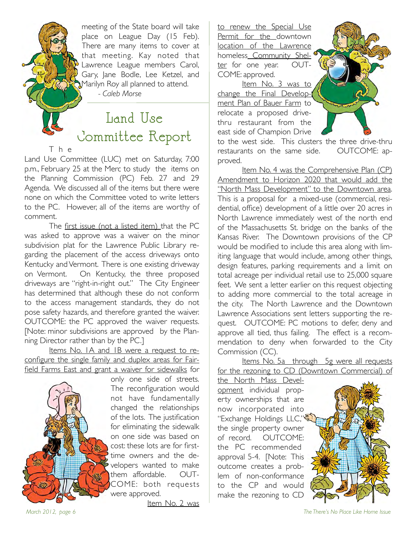meeting of the State board will take place on League Day (15 Feb). There are many items to cover at that meeting. Kay noted that Lawrence League members Carol, Gary, Jane Bodle, Lee Ketzel, and Marilyn Roy all planned to attend.

*- Caleb Morse*

 $\overline{\phantom{a}}$ 

### Land Use Committee Report

T h e

Land Use Committee (LUC) met on Saturday, 7:00 p.m., February 25 at the Merc to study the items on the Planning Commission (PC) Feb. 27 and 29 Agenda. We discussed all of the items but there were none on which the Committee voted to write letters to the PC. However, all of the items are worthy of comment.

The first issue (not a listed item) that the PC was asked to approve was a waiver on the minor subdivision plat for the Lawrence Public Library regarding the placement of the access driveways onto Kentucky and Vermont. There is one existing driveway on Vermont. On Kentucky, the three proposed driveways are "right-in-right out." The City Engineer has determined that although these do not conform to the access management standards, they do not pose safety hazards, and therefore granted the waiver. OUTCOME: the PC approved the waiver requests. [Note: minor subdivisions are approved by the Planning Director rather than by the PC.]

Items No. 1A and 1B were a request to reconfigure the single family and duplex areas for Fairfield Farms East and grant a waiver for sidewalks for



only one side of streets. The reconfiguration would not have fundamentally changed the relationships of the lots. The justification for eliminating the sidewalk on one side was based on cost: these lots are for firsttime owners and the developers wanted to make them affordable. OUT-COME: both requests were approved.

Item No. 2 was

to renew the Special Use Permit for the downtown location of the Lawrence homeless\_Community Shelter for one year. OUT-COME: approved.

Item No. 3 was to change the Final Development Plan of Bauer Farm to relocate a proposed drivethru restaurant from the east side of Champion Drive

to the west side. This clusters the three drive-thru restaurants on the same side. OUTCOME: approved.

Item No. 4 was the Comprehensive Plan (CP) Amendment to Horizon 2020 that would add the "North Mass Development" to the Downtown area. This is a proposal for a mixed-use (commercial, residential, office) development of a little over 20 acres in North Lawrence immediately west of the north end of the Massachusetts St. bridge on the banks of the Kansas River. The Downtown provisions of the CP would be modified to include this area along with limiting language that would include, among other things, design features, parking requirements and a limit on total acreage per individual retail use to 25,000 square feet. We sent a letter earlier on this request objecting to adding more commercial to the total acreage in the city. The North Lawrence and the Downtown Lawrence Associations sent letters supporting the request. OUTCOME: PC motions to defer, deny and approve all tied, thus failing. The effect is a recommendation to deny when forwarded to the City Commission (CC).

Items No. 5a through 5g were all requests for the rezoning to CD (Downtown Commercial) of

the North Mass Development individual property ownerships that are now incorporated into ''Exchange Holdings LLC," the single property owner of record. OUTCOME: the PC recommended approval 5-4. [Note: This outcome creates a problem of non-conformance to the CP and would make the rezoning to CD



*March 2012, page 6 The There's No Place Like Home Issue*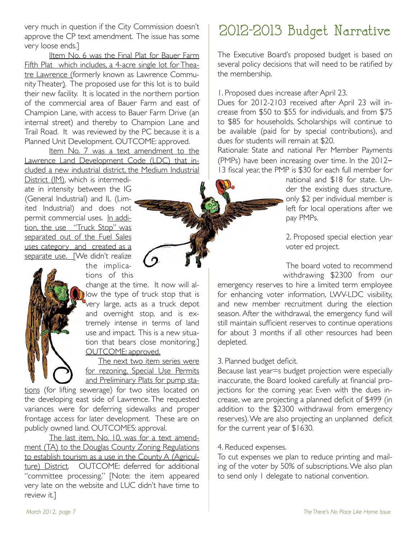very much in question if the City Commission doesn't approve the CP text amendment. The issue has some very loose ends.]

Iltem No. 6 was the Final Plat for Bauer Farm Fifth Plat which includes, a 4-acre single lot for Theatre Lawrence (formerly known as Lawrence Community Theater). The proposed use for this lot is to build their new facility. It is located in the northern portion of the commercial area of Bauer Farm and east of Champion Lane, with access to Bauer Farm Drive (an internal street) and thereby to Champion Lane and Trail Road. It was reviewed by the PC because it is a Planned Unit Development. OUTCOME: approved.

Item No. 7 was a text amendment to the Lawrence Land Development Code (LDC) that included a new industrial district, the Medium Industrial

District (IM), which is intermediate in intensity between the IG (General Industrial) and IL (Limited Industrial) and does not permit commercial uses. In addition, the use "Truck Stop" was separated out of the Fuel Sales uses category and created as a separate use. [We didn't realize

the implications of this

change at the time. It now will allow the type of truck stop that is very large, acts as a truck depot and overnight stop, and is extremely intense in terms of land use and impact. This is a new situation that bears close monitoring.] OUTCOME: approved.

The next two item series were for rezoning, Special Use Permits and Preliminary Plats for pump sta-

tions (for lifting sewerage) for two sites located on the developing east side of Lawrence. The requested variances were for deferring sidewalks and proper frontage access for later development. These are on publicly owned land. OUTCOMES: approval.

The last item, No. 10, was for a text amendment (TA) to the Douglas County Zoning Regulations to establish tourism as a use in the County A (Agriculture) District. OUTCOME: deferred for additional "committee processing." [Note: the item appeared very late on the website and LUC didn't have time to review it.]

### 2012-2013 Budget Narrative

The Executive Board's proposed budget is based on several policy decisions that will need to be ratified by the membership.

1. Proposed dues increase after April 23.

Dues for 2012-2103 received after April 23 will increase from \$50 to \$55 for individuals, and from \$75 to \$85 for households. Scholarships will continue to be available (paid for by special contributions), and dues for students will remain at \$20.

Rationale: State and national Per Member Payments (PMPs) have been increasing over time. In the 2012- 13 fiscal year, the PMP is \$30 for each full member for

> national and \$18 for state. Under the existing dues structure, only \$2 per individual member is left for local operations after we pay PMPs.

2. Proposed special election year voter ed project.

The board voted to recommend withdrawing \$2300 from our

emergency reserves to hire a limited term employee for enhancing voter information, LWV-LDC visibility, and new member recruitment during the election season. After the withdrawal, the emergency fund will still maintain sufficient reserves to continue operations for about 3 months if all other resources had been depleted.

#### 3. Planned budget deficit.

Because last year=s budget projection were especially inaccurate, the Board looked carefully at financial projections for the coming year. Even with the dues increase, we are projecting a planned deficit of \$499 (in addition to the \$2300 withdrawal from emergency reserves). We are also projecting an unplanned deficit for the current year of \$1630.

#### 4. Reduced expenses.

To cut expenses we plan to reduce printing and mailing of the voter by 50% of subscriptions. We also plan to send only 1 delegate to national convention.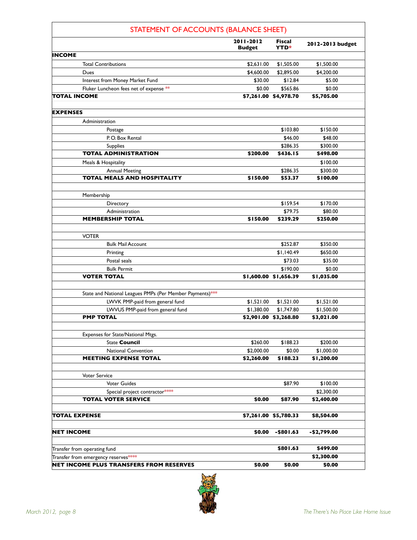| STATEMENT OF ACCOUNTS (BALANCE SHEET)                                |                            |                              |                  |
|----------------------------------------------------------------------|----------------------------|------------------------------|------------------|
|                                                                      | 2011-2012<br><b>Budget</b> | <b>Fiscal</b><br><b>YTD*</b> | 2012-2013 budget |
| INCOME                                                               |                            |                              |                  |
| <b>Total Contributions</b>                                           | \$2,631.00                 | \$1,505.00                   | \$1,500.00       |
| Dues                                                                 | \$4,600.00                 | \$2,895.00                   | \$4,200.00       |
| Interest from Money Market Fund                                      | \$30.00                    | \$12.84                      | \$5.00           |
| Fluker Luncheon fees net of expense **                               | \$0.00                     | \$565.86                     | \$0.00           |
| TOTAL INCOME                                                         |                            | \$7,261.00 \$4,978.70        | \$5,705.00       |
| <b>EXPENSES</b>                                                      |                            |                              |                  |
| Administration                                                       |                            |                              |                  |
| Postage                                                              |                            | \$103.80                     | \$150.00         |
| P.O. Box Rental                                                      |                            | \$46.00                      | \$48.00          |
| <b>Supplies</b>                                                      |                            | \$286.35                     | \$300.00         |
| <b>TOTAL ADMINISTRATION</b>                                          | \$200.00                   | \$436.15                     | \$498.00         |
| Meals & Hospitality                                                  |                            |                              | \$100.00         |
| <b>Annual Meeting</b>                                                |                            | \$286.35                     | \$300.00         |
| <b>TOTAL MEALS AND HOSPITALITY</b>                                   | \$150.00                   | \$53.37                      | \$100.00         |
| Membership                                                           |                            |                              |                  |
| Directory                                                            |                            | \$159.54                     | \$170.00         |
| Administration                                                       |                            | \$79.75                      | \$80.00          |
| <b>MEMBERSHIP TOTAL</b>                                              | \$150.00                   | \$239.29                     | \$250.00         |
|                                                                      |                            |                              |                  |
| <b>VOTER</b>                                                         |                            |                              |                  |
| <b>Bulk Mail Account</b>                                             |                            | \$252.87                     | \$350.00         |
| Printing                                                             |                            | \$1,140.49                   | \$650.00         |
| Postal seals                                                         |                            | \$73.03                      | \$35.00          |
| <b>Bulk Permit</b>                                                   |                            | \$190.00                     | \$0.00           |
| <b>VOTER TOTAL</b>                                                   |                            | \$1,600.00 \$1,656.39        | \$1,035.00       |
|                                                                      |                            |                              |                  |
| State and National Leagues PMPs (Per Member Payments)***             |                            |                              |                  |
| LWVK PMP-paid from general fund                                      | \$1,521.00                 | \$1,521.00                   | \$1,521.00       |
| LWVUS PMP-paid from general fund                                     | \$1,380.00                 | \$1,747.80                   | \$1,500.00       |
| <b>PMP TOTAL</b>                                                     |                            | \$2,901.00 \$3,268.80        | \$3,021.00       |
| Expenses for State/National Mtgs.                                    |                            |                              |                  |
| <b>State Council</b>                                                 | \$260.00                   | \$188.23                     | \$200.00         |
| <b>National Convention</b>                                           | \$2,000.00                 | \$0.00                       | \$1,000.00       |
| <b>MEETING EXPENSE TOTAL</b>                                         | \$2,260.00                 | \$188.23                     | \$1,200.00       |
|                                                                      |                            |                              |                  |
| Voter Service                                                        |                            |                              |                  |
| <b>Voter Guides</b>                                                  |                            | \$87.90                      | \$100.00         |
| Special project contractor****                                       |                            |                              | \$2,300.00       |
| <b>TOTAL VOTER SERVICE</b>                                           | \$0.00                     | \$87.90                      | \$2,400.00       |
|                                                                      |                            |                              |                  |
| <b>TOTAL EXPENSE</b>                                                 |                            | \$7,261.00 \$5,780.33        | \$8,504.00       |
|                                                                      |                            |                              |                  |
| <b>NET INCOME</b>                                                    | \$0.00                     | $-$801.63$                   | -\$2,799.00      |
|                                                                      |                            | \$801.63                     | \$499.00         |
| Transfer from operating fund<br>Transfer from emergency reserves**** |                            |                              | \$2,300.00       |
| <b>NET INCOME PLUS TRANSFERS FROM RESERVES</b>                       | \$0.00                     | \$0.00                       | \$0.00           |

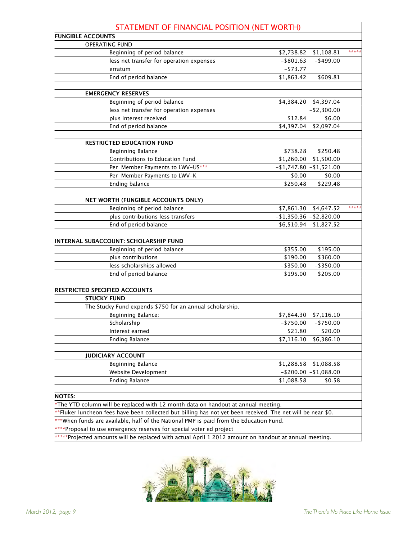| STATEMENT OF FINANCIAL POSITION (NET WORTH)                                                                 |                        |                             |       |
|-------------------------------------------------------------------------------------------------------------|------------------------|-----------------------------|-------|
| <b>FUNGIBLE ACCOUNTS</b>                                                                                    |                        |                             |       |
| <b>OPERATING FUND</b>                                                                                       |                        |                             |       |
| Beginning of period balance                                                                                 | \$2,738.82             | \$1,108.81                  | ***** |
| less net transfer for operation expenses                                                                    | $-$ \$801.63           | $-$ \$499.00                |       |
| erratum                                                                                                     | $-$ \$73.77            |                             |       |
| End of period balance                                                                                       | \$1,863.42             | \$609.81                    |       |
| <b>EMERGENCY RESERVES</b>                                                                                   |                        |                             |       |
| Beginning of period balance                                                                                 | \$4,384.20             | \$4,397.04                  |       |
| less net transfer for operation expenses                                                                    |                        | $-$ \$2,300.00              |       |
| plus interest received                                                                                      | \$12.84                | \$6.00                      |       |
| End of period balance                                                                                       | \$4,397.04             | \$2,097.04                  |       |
| <b>RESTRICTED EDUCATION FUND</b>                                                                            |                        |                             |       |
| Beginning Balance                                                                                           | \$738.28               | \$250.48                    |       |
| Contributions to Education Fund                                                                             | \$1,260.00             | \$1,500.00                  |       |
| Per Member Payments to LWV-US***                                                                            | $-1,747.80 -1,521.00$  |                             |       |
| Per Member Payments to LWV-K                                                                                | \$0.00                 | \$0.00                      |       |
| <b>Ending balance</b>                                                                                       | \$250.48               | \$229.48                    |       |
|                                                                                                             |                        |                             |       |
| NET WORTH (FUNGIBLE ACCOUNTS ONLY)                                                                          |                        |                             |       |
| Beginning of period balance                                                                                 |                        | \$7,861.30 \$4,647.52       | ***** |
| plus contributions less transfers                                                                           | $-1,350.36 - 2,820.00$ |                             |       |
| End of period balance                                                                                       | \$6,510.94             | \$1,827.52                  |       |
| INTERNAL SUBACCOUNT: SCHOLARSHIP FUND                                                                       |                        |                             |       |
| Beginning of period balance                                                                                 | \$355.00               | \$195.00                    |       |
| plus contributions                                                                                          | \$190.00               | \$360.00                    |       |
| less scholarships allowed                                                                                   | $-$ \$350.00           | $-$ \$350.00                |       |
| End of period balance                                                                                       | \$195.00               | \$205.00                    |       |
|                                                                                                             |                        |                             |       |
| RESTRICTED SPECIFIED ACCOUNTS                                                                               |                        |                             |       |
| <b>STUCKY FUND</b>                                                                                          |                        |                             |       |
| The Stucky Fund expends \$750 for an annual scholarship.                                                    |                        |                             |       |
| Beginning Balance:                                                                                          | \$7,844.30             | \$7,116.10                  |       |
| Scholarship                                                                                                 | $-$ \$750.00           | $-$ \$750.00                |       |
| Interest earned                                                                                             | \$21.80                | \$20.00                     |       |
| <b>Ending Balance</b>                                                                                       | \$7,116.10             | \$6,386.10                  |       |
|                                                                                                             |                        |                             |       |
| <b>JUDICIARY ACCOUNT</b>                                                                                    |                        |                             |       |
| Beginning Balance                                                                                           | \$1,288.58             | \$1,088.58                  |       |
| Website Development                                                                                         |                        | $-$ \$200.00 $-$ \$1,088.00 |       |
| <b>Ending Balance</b>                                                                                       | \$1,088.58             | \$0.58                      |       |
| <b>NOTES:</b>                                                                                               |                        |                             |       |
| *The YTD column will be replaced with 12 month data on handout at annual meeting.                           |                        |                             |       |
| **Fluker luncheon fees have been collected but billing has not yet been received. The net will be near \$0. |                        |                             |       |
| ***When funds are available, half of the National PMP is paid from the Education Fund.                      |                        |                             |       |
| ****Proposal to use emergency reserves for special voter ed project                                         |                        |                             |       |
| *****Projected amounts will be replaced with actual April 1 2012 amount on handout at annual meeting.       |                        |                             |       |

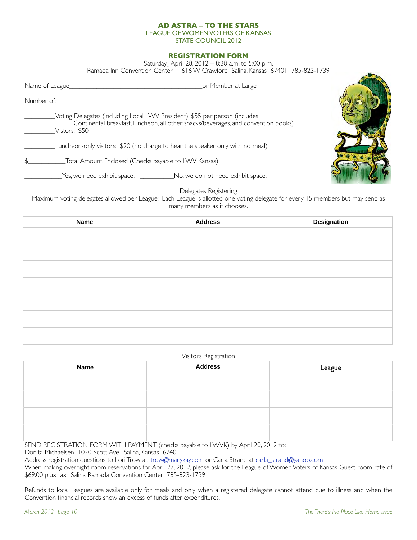#### **AD ASTRA – TO THE STARS** LEAGUE OF WOMEN VOTERS OF KANSAS STATE COUNCIL 2012

#### **REGISTRATION FORM**

Saturday¸ April 28, 2012 – 8:30 a.m. to 5:00 p.m.

Ramada Inn Convention Center 1616 W Crawford Salina, Kansas 67401 785-823-1739

| Name of League | or Member at Large                                                                                                                                                |  |
|----------------|-------------------------------------------------------------------------------------------------------------------------------------------------------------------|--|
| Number of:     |                                                                                                                                                                   |  |
| Vistors: \$50  | Voting Delegates (including Local LWV President), \$55 per person (includes<br>Continental breakfast, luncheon, all other snacks/beverages, and convention books) |  |
|                | Luncheon-only visitors: \$20 (no charge to hear the speaker only with no meal)                                                                                    |  |
|                | Total Amount Enclosed (Checks payable to LWV Kansas)                                                                                                              |  |
|                |                                                                                                                                                                   |  |

Delegates Registering

Maximum voting delegates allowed per League: Each League is allotted one voting delegate for every 15 members but may send as many members as it chooses.

| <b>Name</b> | <b>Address</b> | <b>Designation</b> |
|-------------|----------------|--------------------|
|             |                |                    |
|             |                |                    |
|             |                |                    |
|             |                |                    |
|             |                |                    |
|             |                |                    |
|             |                |                    |

#### Visitors Registration

| <b>Name</b> | <b>Address</b> | League |
|-------------|----------------|--------|
|             |                |        |
|             |                |        |
|             |                |        |
|             |                |        |
|             |                |        |

SEND REGISTRATION FORM WITH PAYMENT (checks payable to LWVK) by April 20, 2012 to:

Donita Michaelsen 1020 Scott Ave, Salina, Kansas 67401

Address registration questions to Lori Trow at ltrow@marykay.com or Carla Strand at carla\_strand@yahoo.com

When making overnight room reservations for April 27, 2012, please ask for the League of Women Voters of Kansas Guest room rate of \$69.00 plux tax. Salina Ramada Convention Center 785-823-1739

Refunds to local Leagues are available only for meals and only when a registered delegate cannot attend due to illness and when the Convention financial records show an excess of funds after expenditures.